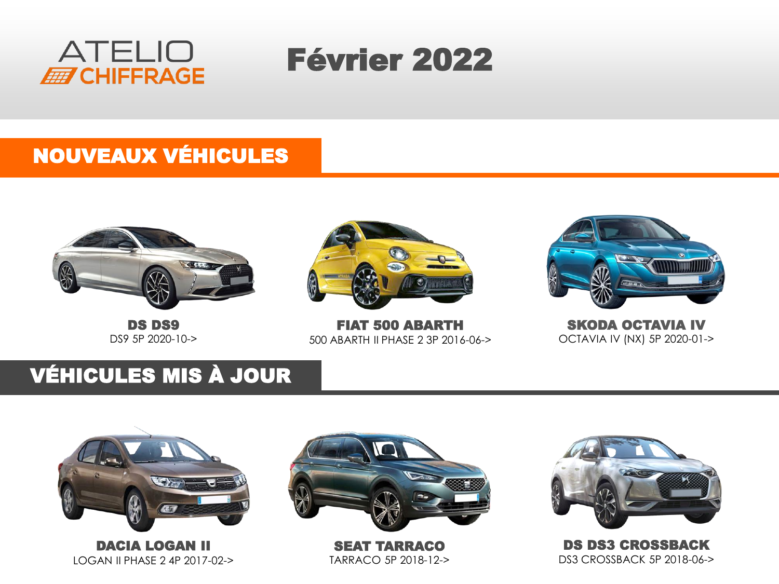

# Février 2022

#### NOUVEAUX VÉHICULES



DS DS9 DS9 5P 2020-10->



FIAT 500 ABARTH 500 ABARTH II PHASE 2 3P 2016-06->



SKODA OCTAVIA IV OCTAVIA IV (NX) 5P 2020-01->

### VÉHICULES MIS À JOUR



DACIA LOGAN II LOGAN II PHASE 2 4P 2017-02->



SEAT TARRACO TARRACO 5P 2018-12->



DS DS3 CROSSBACK DS3 CROSSBACK 5P 2018-06->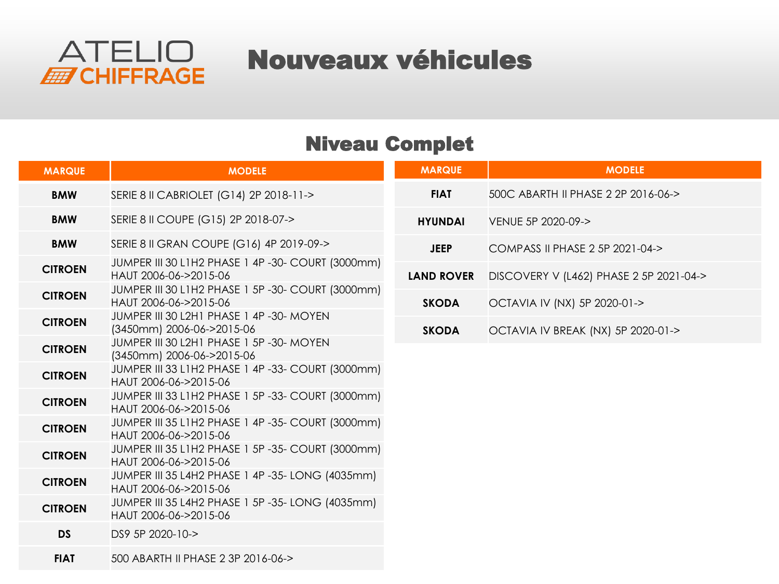

### Nouveaux véhicules

#### Niveau Complet

| <b>MARQUE</b>  | <b>MODELE</b>                                                              | <b>MARQUE</b>     | <b>MODELE</b>                           |
|----------------|----------------------------------------------------------------------------|-------------------|-----------------------------------------|
| <b>BMW</b>     | SERIE 8 II CABRIOLET (G14) 2P 2018-11->                                    | <b>FIAT</b>       | 500C ABARTH II PHASE 2 2P 2016-06->     |
| <b>BMW</b>     | SERIE 8 II COUPE (G15) 2P 2018-07->                                        | <b>HYUNDAI</b>    | VENUE 5P 2020-09->                      |
| <b>BMW</b>     | SERIE 8 II GRAN COUPE (G16) 4P 2019-09->                                   | <b>JEEP</b>       | COMPASS II PHASE 2 5P 2021-04->         |
| <b>CITROEN</b> | JUMPER III 30 L1H2 PHASE 1 4P -30- COURT (3000mm)<br>HAUT 2006-06->2015-06 | <b>LAND ROVER</b> | DISCOVERY V (L462) PHASE 2 5P 2021-04-> |
| <b>CITROEN</b> | JUMPER III 30 L1H2 PHASE 1 5P-30- COURT (3000mm)<br>HAUT 2006-06->2015-06  | <b>SKODA</b>      | OCTAVIA IV (NX) 5P 2020-01->            |
| <b>CITROEN</b> | JUMPER III 30 L2H1 PHASE 1 4P -30- MOYEN<br>(3450mm) 2006-06->2015-06      | <b>SKODA</b>      | OCTAVIA IV BREAK (NX) 5P 2020-01->      |
| <b>CITROEN</b> | JUMPER III 30 L2H1 PHASE 1 5P -30- MOYEN<br>(3450mm) 2006-06->2015-06      |                   |                                         |
| <b>CITROEN</b> | JUMPER III 33 L1H2 PHASE 1 4P -33- COURT (3000mm)<br>HAUT 2006-06->2015-06 |                   |                                         |
| <b>CITROEN</b> | JUMPER III 33 L1H2 PHASE 1 5P -33- COURT (3000mm)<br>HAUT 2006-06->2015-06 |                   |                                         |
| <b>CITROEN</b> | JUMPER III 35 L1H2 PHASE 1 4P -35- COURT (3000mm)<br>HAUT 2006-06->2015-06 |                   |                                         |
| <b>CITROEN</b> | JUMPER III 35 L1H2 PHASE 1 5P -35- COURT (3000mm)<br>HAUT 2006-06->2015-06 |                   |                                         |
| <b>CITROEN</b> | JUMPER III 35 L4H2 PHASE 1 4P -35- LONG (4035mm)<br>HAUT 2006-06->2015-06  |                   |                                         |
| <b>CITROEN</b> | JUMPER III 35 L4H2 PHASE 1 5P -35- LONG (4035mm)<br>HAUT 2006-06->2015-06  |                   |                                         |
| <b>DS</b>      | DS9 5P 2020-10->                                                           |                   |                                         |
| <b>FIAT</b>    | 500 ABARTH II PHASE 2 3P 2016-06->                                         |                   |                                         |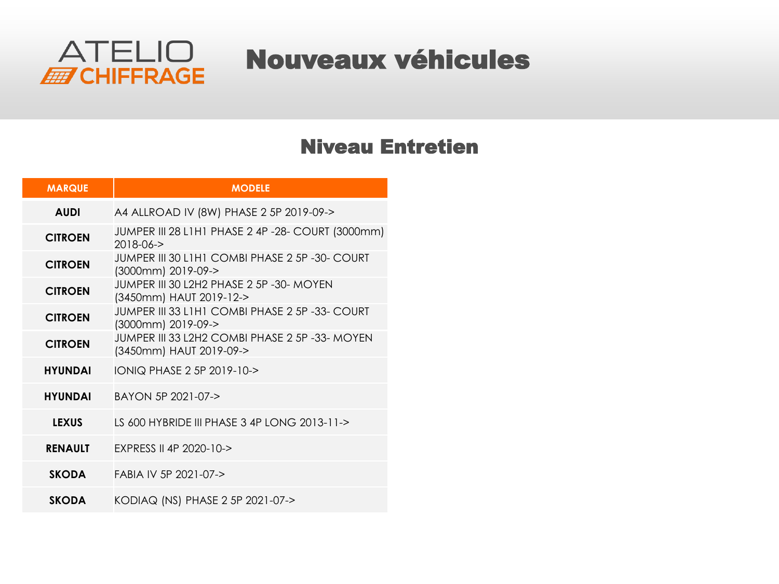

### Nouveaux véhicules

#### Niveau Entretien

| <b>MARQUE</b>  | <b>MODELE</b>                                                             |
|----------------|---------------------------------------------------------------------------|
| <b>AUDI</b>    | A4 ALLROAD IV (8W) PHASE 2 5P 2019-09->                                   |
| <b>CITROEN</b> | JUMPER III 28 L1H1 PHASE 2 4P -28- COURT (3000mm)<br>2018-06->            |
| <b>CITROEN</b> | JUMPER III 30 L1H1 COMBI PHASE 2 5P -30- COURT<br>(3000mm) 2019-09->      |
| <b>CITROEN</b> | JUMPER III 30 L2H2 PHASE 2 5P -30- MOYEN<br>(3450mm) HAUT 2019-12->       |
| <b>CITROEN</b> | JUMPER III 33 L1H1 COMBI PHASE 2 5P -33- COURT<br>(3000mm) 2019-09->      |
| <b>CITROEN</b> | JUMPER III 33 L2H2 COMBI PHASE 2 5P -33- MOYEN<br>(3450mm) HAUT 2019-09-> |
| <b>HYUNDAI</b> | IONIQ PHASE 2 5P 2019-10->                                                |
| <b>HYUNDAI</b> | BAYON 5P 2021-07->                                                        |
| <b>LEXUS</b>   | LS 600 HYBRIDE III PHASE 3 4P LONG 2013-11->                              |
| <b>RENAULT</b> | <b>FXPRESS II 4P 2020-10-&gt;</b>                                         |
| <b>SKODA</b>   | FABIA IV 5P 2021-07->                                                     |
| <b>SKODA</b>   | KODIAQ (NS) PHASE 2 5P 2021-07->                                          |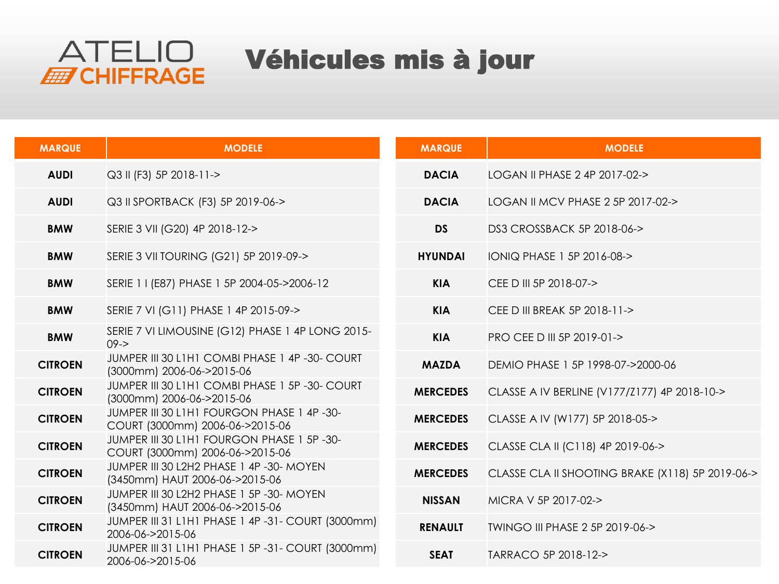

## Véhicules mis à jour

| <b>MARQUE</b>  | <b>MODELE</b>                                                                | <b>MARQUE</b>   | <b>MODELE</b>                                    |
|----------------|------------------------------------------------------------------------------|-----------------|--------------------------------------------------|
| <b>AUDI</b>    | Q3 II (F3) 5P 2018-11->                                                      | <b>DACIA</b>    | LOGAN II PHASE 2 4P 2017-02->                    |
| <b>AUDI</b>    | Q3 II SPORTBACK (F3) 5P 2019-06->                                            | <b>DACIA</b>    | LOGAN II MCV PHASE 2 5P 2017-02->                |
| <b>BMW</b>     | SERIE 3 VII (G20) 4P 2018-12->                                               | <b>DS</b>       | DS3 CROSSBACK 5P 2018-06->                       |
| <b>BMW</b>     | SERIE 3 VII TOURING (G21) 5P 2019-09->                                       | <b>HYUNDAI</b>  | IONIQ PHASE 1 5P 2016-08->                       |
| <b>BMW</b>     | SERIE 1 I (E87) PHASE 1 5P 2004-05->2006-12                                  | <b>KIA</b>      | CEE D III 5P 2018-07->                           |
| <b>BMW</b>     | SERIE 7 VI (G11) PHASE 1 4P 2015-09->                                        | <b>KIA</b>      | CEE D III BREAK 5P 2018-11->                     |
| <b>BMW</b>     | SERIE 7 VI LIMOUSINE (G12) PHASE 1 4P LONG 2015-<br>$09 - >$                 | <b>KIA</b>      | PRO CEE D III 5P 2019-01->                       |
| <b>CITROEN</b> | JUMPER III 30 L1H1 COMBI PHASE 1 4P -30- COURT<br>(3000mm) 2006-06->2015-06  | <b>MAZDA</b>    | DEMIO PHASE 1 5P 1998-07->2000-06                |
| <b>CITROEN</b> | JUMPER III 30 L1H1 COMBI PHASE 1 5P-30- COURT<br>(3000mm) 2006-06->2015-06   | <b>MERCEDES</b> | CLASSE A IV BERLINE (V177/Z177) 4P 2018-10->     |
| <b>CITROEN</b> | JUMPER III 30 L1H1 FOURGON PHASE 1 4P-30-<br>COURT (3000mm) 2006-06->2015-06 | <b>MERCEDES</b> | CLASSE A IV (W177) 5P 2018-05->                  |
| <b>CITROEN</b> | JUMPER III 30 L1H1 FOURGON PHASE 1 5P-30-<br>COURT (3000mm) 2006-06->2015-06 | <b>MERCEDES</b> | CLASSE CLA II (C118) 4P 2019-06->                |
| <b>CITROEN</b> | JUMPER III 30 L2H2 PHASE 1 4P -30- MOYEN<br>(3450mm) HAUT 2006-06->2015-06   | <b>MERCEDES</b> | CLASSE CLA II SHOOTING BRAKE (X118) 5P 2019-06-> |
| <b>CITROEN</b> | JUMPER III 30 L2H2 PHASE 1 5P -30- MOYEN<br>(3450mm) HAUT 2006-06->2015-06   | <b>NISSAN</b>   | MICRA V 5P 2017-02->                             |
| <b>CITROEN</b> | JUMPER III 31 L1H1 PHASE 1 4P-31- COURT (3000mm)<br>2006-06->2015-06         | <b>RENAULT</b>  | TWINGO III PHASE 2 5P 2019-06->                  |
| <b>CITROEN</b> | JUMPER III 31 L1H1 PHASE 1 5P-31- COURT (3000mm)<br>2006-06->2015-06         | <b>SEAT</b>     | TARRACO 5P 2018-12->                             |